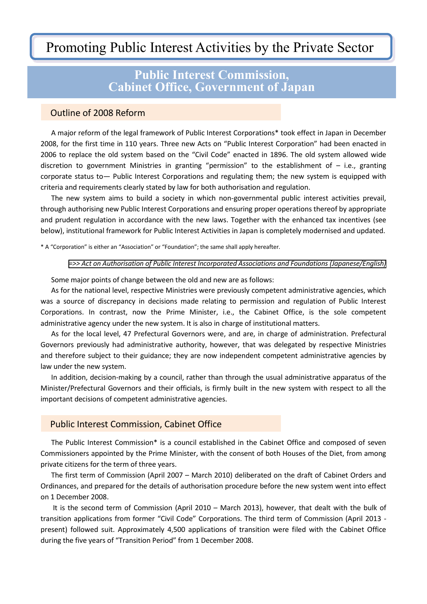# Promoting Public Interest Activities by the Private Sector

## **Public Interest Commission, Cabinet Office, Government of Japan**

#### Outline of 2008 Reform

 A major reform of the legal framework of Public Interest Corporations\* took effect in Japan in December 2008, for the first time in 110 years. Three new Acts on "Public Interest Corporation" had been enacted in 2006 to replace the old system based on the "Civil Code" enacted in 1896. The old system allowed wide discretion to government Ministries in granting "permission" to the establishment of  $-$  i.e., granting corporate status to— Public Interest Corporations and regulating them; the new system is equipped with criteria and requirements clearly stated by law for both authorisation and regulation.

 The new system aims to build a society in which non-governmental public interest activities prevail, through authorising new Public Interest Corporations and ensuring proper operations thereof by appropriate and prudent regulation in accordance with the new laws. Together with the enhanced tax incentives (see below), institutional framework for Public Interest Activities in Japan is completely modernised and updated.

\* A "Corporation" is either an "Association" or "Foundation"; the same shall apply hereafter.

#### *[=>> Act on Authorisation of Public Interest Incorporated Associations and Foundations \(Japanese/English\)](https://www.koeki-info.go.jp/pictis_portal/other/pdf/act.pdf)*

Some major points of change between the old and new are as follows:

 As for the national level, respective Ministries were previously competent administrative agencies, which was a source of discrepancy in decisions made relating to permission and regulation of Public Interest Corporations. In contrast, now the Prime Minister, i.e., the Cabinet Office, is the sole competent administrative agency under the new system. It is also in charge of institutional matters.

 As for the local level, 47 Prefectural Governors were, and are, in charge of administration. Prefectural Governors previously had administrative authority, however, that was delegated by respective Ministries and therefore subject to their guidance; they are now independent competent administrative agencies by law under the new system.

 In addition, decision-making by a council, rather than through the usual administrative apparatus of the Minister/Prefectural Governors and their officials, is firmly built in the new system with respect to all the important decisions of competent administrative agencies.

#### Public Interest Commission, Cabinet Office

 The Public Interest Commission\* is a council established in the Cabinet Office and composed of seven Commissioners appointed by the Prime Minister, with the consent of both Houses of the Diet, from among private citizens for the term of three years.

 The first term of Commission (April 2007 – March 2010) deliberated on the draft of Cabinet Orders and Ordinances, and prepared for the details of authorisation procedure before the new system went into effect on 1 December 2008.

 It is the second term of Commission (April 2010 – March 2013), however, that dealt with the bulk of transition applications from former "Civil Code" Corporations. The third term of Commission (April 2013 present) followed suit. Approximately 4,500 applications of transition were filed with the Cabinet Office during the five years of "Transition Period" from 1 December 2008.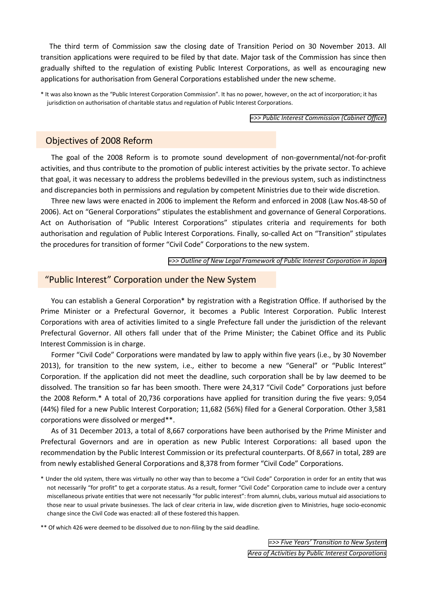The third term of Commission saw the closing date of Transition Period on 30 November 2013. All transition applications were required to be filed by that date. Major task of the Commission has since then gradually shifted to the regulation of existing Public Interest Corporations, as well as encouraging new applications for authorisation from General Corporations established under the new scheme.

\* It was also known as the "Public Interest Corporation Commission". It has no power, however, on the act of incorporation; it has jurisdiction on authorisation of charitable status and regulation of Public Interest Corporations.

*[=>> Public Interest Commission \(Cabinet Office\)](https://www.koeki-info.go.jp/pictis_portal/other/pdf/E_01.pdf)*

#### Objectives of 2008 Reform

 The goal of the 2008 Reform is to promote sound development of non-governmental/not-for-profit activities, and thus contribute to the promotion of public interest activities by the private sector. To achieve that goal, it was necessary to address the problems bedevilled in the previous system, such as indistinctness and discrepancies both in permissions and regulation by competent Ministries due to their wide discretion.

 Three new laws were enacted in 2006 to implement the Reform and enforced in 2008 (Law Nos.48-50 of 2006). Act on "General Corporations" stipulates the establishment and governance of General Corporations. Act on Authorisation of "Public Interest Corporations" stipulates criteria and requirements for both authorisation and regulation of Public Interest Corporations. Finally, so-called Act on "Transition" stipulates the procedures for transition of former "Civil Code" Corporations to the new system.

*[=>> Outline of New Legal Framework of Public Interest Corporation in Japan](https://www.koeki-info.go.jp/pictis_portal/other/pdf/E_02.pdf)*

#### "Public Interest" Corporation under the New System

You can establish a General Corporation\* by registration with a Registration Office. If authorised by the Prime Minister or a Prefectural Governor, it becomes a Public Interest Corporation. Public Interest Corporations with area of activities limited to a single Prefecture fall under the jurisdiction of the relevant Prefectural Governor. All others fall under that of the Prime Minister; the Cabinet Office and its Public Interest Commission is in charge.

 Former "Civil Code" Corporations were mandated by law to apply within five years (i.e., by 30 November 2013), for transition to the new system, i.e., either to become a new "General" or "Public Interest" Corporation. If the application did not meet the deadline, such corporation shall be by law deemed to be dissolved. The transition so far has been smooth. There were 24,317 "Civil Code" Corporations just before the 2008 Reform.\* A total of 20,736 corporations have applied for transition during the five years: 9,054 (44%) filed for a new Public Interest Corporation; 11,682 (56%) filed for a General Corporation. Other 3,581 corporations were dissolved or merged\*\*.

 As of 31 December 2013, a total of 8,667 corporations have been authorised by the Prime Minister and Prefectural Governors and are in operation as new Public Interest Corporations: all based upon the recommendation by the Public Interest Commission or its prefectural counterparts. Of 8,667 in total, 289 are from newly established General Corporations and 8,378 from former "Civil Code" Corporations.

\*\* Of which 426 were deemed to be dissolved due to non-filing by the said deadline.

*=>> Five Years' [Transition to New System](https://www.koeki-info.go.jp/pictis_portal/other/pdf/E_03.pdf) [Area of Activities by Public Interest Corporations](https://www.koeki-info.go.jp/pictis_portal/other/pdf/E_04.pdf)*

<sup>\*</sup> Under the old system, there was virtually no other way than to become a "Civil Code" Corporation in order for an entity that was not necessarily "for profit" to get a corporate status. As a result, former "Civil Code" Corporation came to include over a century miscellaneous private entities that were not necessarily "for public interest": from alumni, clubs, various mutual aid associations to those near to usual private businesses. The lack of clear criteria in law, wide discretion given to Ministries, huge socio-economic change since the Civil Code was enacted: all of these fostered this happen.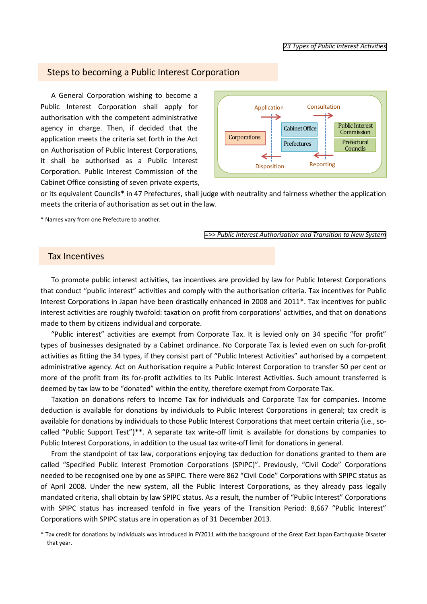#### Steps to becoming a Public Interest Corporation

 A General Corporation wishing to become a Public Interest Corporation shall apply for authorisation with the competent administrative agency in charge. Then, if decided that the application meets the criteria set forth in the Act on Authorisation of Public Interest Corporations, it shall be authorised as a Public Interest Corporation. Public Interest Commission of the Cabinet Office consisting of seven private experts,



or its equivalent Councils\* in 47 Prefectures, shall judge with neutrality and fairness whether the application meets the criteria of authorisation as set out in the law.

\* Names vary from one Prefecture to another.

*[=>> Public Interest Authorisation and Transition to New System](https://www.koeki-info.go.jp/pictis_portal/other/pdf/E_06.pdf)*

### Tax Incentives

 To promote public interest activities, tax incentives are provided by law for Public Interest Corporations that conduct "public interest" activities and comply with the authorisation criteria. Tax incentives for Public Interest Corporations in Japan have been drastically enhanced in 2008 and 2011\*. Tax incentives for public interest activities are roughly twofold: taxation on profit from corporations' activities, and that on donations made to them by citizens individual and corporate.

 "Public interest" activities are exempt from Corporate Tax. It is levied only on 34 specific "for profit" types of businesses designated by a Cabinet ordinance. No Corporate Tax is levied even on such for-profit activities as fitting the 34 types, if they consist part of "Public Interest Activities" authorised by a competent administrative agency. Act on Authorisation require a Public Interest Corporation to transfer 50 per cent or more of the profit from its for-profit activities to its Public Interest Activities. Such amount transferred is deemed by tax law to be "donated" within the entity, therefore exempt from Corporate Tax.

 Taxation on donations refers to Income Tax for individuals and Corporate Tax for companies. Income deduction is available for donations by individuals to Public Interest Corporations in general; tax credit is available for donations by individuals to those Public Interest Corporations that meet certain criteria (i.e., socalled "Public Support Test")\*\*. A separate tax write-off limit is available for donations by companies to Public Interest Corporations, in addition to the usual tax write-off limit for donations in general.

 From the standpoint of tax law, corporations enjoying tax deduction for donations granted to them are called "Specified Public Interest Promotion Corporations (SPIPC)". Previously, "Civil Code" Corporations needed to be recognised one by one as SPIPC. There were 862 "Civil Code" Corporations with SPIPC status as of April 2008. Under the new system, all the Public Interest Corporations, as they already pass legally mandated criteria, shall obtain by law SPIPC status. As a result, the number of "Public Interest" Corporations with SPIPC status has increased tenfold in five years of the Transition Period: 8,667 "Public Interest" Corporations with SPIPC status are in operation as of 31 December 2013.

\* Tax credit for donations by individuals was introduced in FY2011 with the background of the Great East Japan Earthquake Disaster that year.